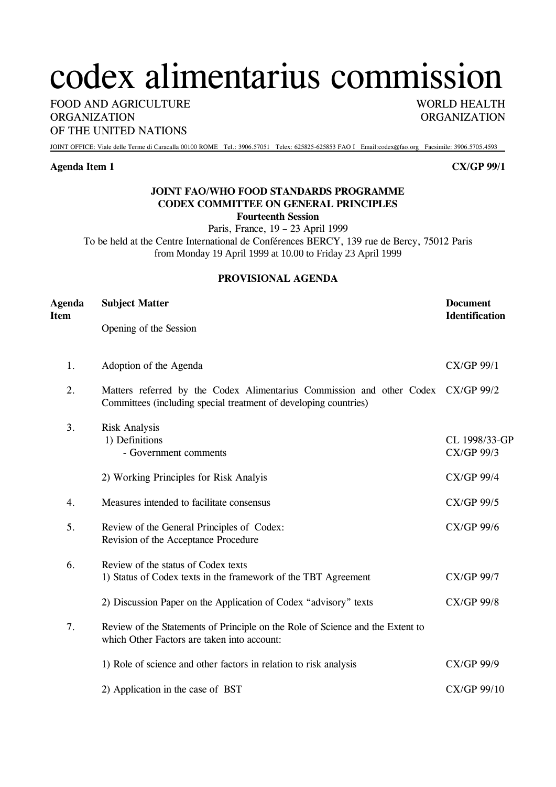# codex alimentarius commission

FOOD AND AGRICULTURE WORLD HEALTH ORGANIZATION ORGANIZATION OF THE UNITED NATIONS

JOINT OFFICE: Viale delle Terme di Caracalla 00100 ROME Tel.: 3906.57051 Telex: 625825-625853 FAO I Email:codex@fao.org Facsimile: 3906.5705.4593

#### **Agenda Item 1 CX/GP 99/1**

## **JOINT FAO/WHO FOOD STANDARDS PROGRAMME CODEX COMMITTEE ON GENERAL PRINCIPLES Fourteenth Session**

Paris, France, 19 – 23 April 1999

To be held at the Centre International de Conférences BERCY, 139 rue de Bercy, 75012 Paris from Monday 19 April 1999 at 10.00 to Friday 23 April 1999

## **PROVISIONAL AGENDA**

| <b>Agenda</b><br><b>Item</b> | <b>Subject Matter</b>                                                                                                                                | <b>Document</b><br><b>Identification</b> |  |
|------------------------------|------------------------------------------------------------------------------------------------------------------------------------------------------|------------------------------------------|--|
|                              | Opening of the Session                                                                                                                               |                                          |  |
| 1.                           | Adoption of the Agenda                                                                                                                               | CX/GP 99/1                               |  |
| 2.                           | Matters referred by the Codex Alimentarius Commission and other Codex CX/GP 99/2<br>Committees (including special treatment of developing countries) |                                          |  |
| 3.                           | <b>Risk Analysis</b><br>1) Definitions<br>- Government comments                                                                                      | CL 1998/33-GP<br>CX/GP 99/3              |  |
|                              | 2) Working Principles for Risk Analyis                                                                                                               | CX/GP 99/4                               |  |
| 4.                           | Measures intended to facilitate consensus                                                                                                            | CX/GP 99/5                               |  |
| 5.                           | Review of the General Principles of Codex:<br>Revision of the Acceptance Procedure                                                                   | CX/GP 99/6                               |  |
| 6.                           | Review of the status of Codex texts<br>1) Status of Codex texts in the framework of the TBT Agreement                                                | <b>CX/GP 99/7</b>                        |  |
|                              | 2) Discussion Paper on the Application of Codex "advisory" texts                                                                                     | <b>CX/GP 99/8</b>                        |  |
| 7.                           | Review of the Statements of Principle on the Role of Science and the Extent to<br>which Other Factors are taken into account:                        |                                          |  |
|                              | 1) Role of science and other factors in relation to risk analysis                                                                                    | CX/GP 99/9                               |  |
|                              | 2) Application in the case of BST                                                                                                                    | CX/GP 99/10                              |  |